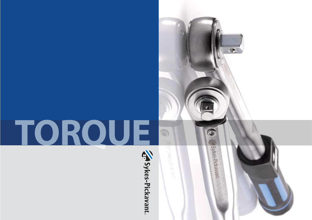# **TORQUE**



O)

 $\max_{\mathbf{x} \in \mathcal{X}} \mathbb{E}_{\mathbf{x}} \mathbb{E}_{\mathbf{x}} \left[ \mathbb{E}_{\mathbf{x}} \mathbb{E}_{\mathbf{x}} \right] \mathbb{E}_{\mathbf{x}} \mathbb{E}_{\mathbf{x}}$ 

 $\mathbf{v}$ 

Sykes-Pickavant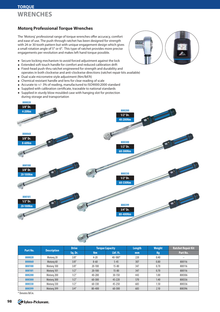# **TORQUE WRENCHES**

### **Motorq Professional Torque Wrenches**

The 'Motorq' professional range of torque wrenches offer accuracy, comfort and ease of use. The push-through ratchet has been designed for strength with 24 or 30 tooth pattern but with unique engagement design which gives a small rotation angle of 5° or 6°. This type of ratchet provides more precise engagements per revolution and makes left hand torque possible.

- 
- Secure locking mechanism to avoid forced adjustment against the lock
- Extended soft touch handle for comfort and reduced calibration drift
- Fixed-head push-thru ratchet engineered for strength and durability and operates in both clockwise and anti-clockwise directions (ratchet repair kits available)
- Dual scale micrometre style adjustment (Nm/lbf.ft)
- Chemical resistant handle and lens for clear reading of scale
- Accurate to +/- 3% of reading, manufactured to ISO9000:2000 standard
- Supplied with calibration certificate, traceable to national standards
- Supplied in sturdy blow moulded case with hanging slot for protection during storage and transportation



| Part No. | <b>Description</b> | <b>Drive</b> |            | <b>Torque Capacity</b> | Length | Weight | <b>Ratchet Repair Kit</b> |
|----------|--------------------|--------------|------------|------------------------|--------|--------|---------------------------|
|          |                    | Sq. Dr.      | <b>Nm</b>  | Lbf.ft.                | mm     | Kg     | Part No.                  |
| 800020   | Motorg 20          | 3/8''        | $4 - 20$   | $40 - 180*$            | 220    | 0.40   | -                         |
| 800060   | Motorg 60          | 3/8''        | $8 - 60$   | $5 - 45$               | 307    | 0.80   | 800116                    |
| 800100   | Motorg 100         | 3/8''        | $20 - 100$ | $15 - 80$              | 347    | 0.70   | 800116                    |
| 800101   | Motorg 101         | 1/2"         | $20 - 100$ | $15 - 80$              | 347    | 0.70   | 800116                    |
| 800200   | Motora 200         | 1/2"         | 40-200     | 30-150                 | 443    | 1.00   | 800306                    |
| 800300   | Motorg 300         | 1/2"         | 60-300     | 45-220                 | 570    | 1.40   | 800336                    |
| 800330   | Motorg 330         | 1/2''        | 60-330     | 45-250                 | 683    | 1.50   | 800336                    |
| 800399   | Motorg 399         | 3/4''        | 80-400     | 60-300                 | 683    | 2.10   | 800396                    |

\* Denotes lbf.in.

**98**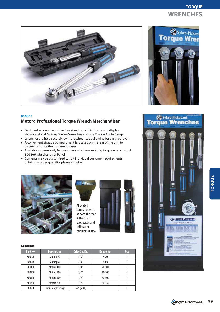# **TORQUE WRENCHES**





## **800805 Motorq Professional Torque Wrench Merchandiser**

- Designed as a wall mount or free standing unit to house and display six professional Motorq Torque Wrenches and one Torque Angle Gauge
- Wrenches are held securely by the ratchet heads allowing for easy retrieval
- A convenient storage compartment is located on the rear of the unit to discreetly house the six wrench cases
- Available as panel only for customers who have existing torque wrench stock **800806** Merchandiser Panel
- Contents may be customised to suit individual customer requirements (minimum order quantity, please enquire)





Allocated compartments at both the rear & the top to keep cases and calibration certificates safe.



### **Contents**

| Part No. | <b>Description</b>        | Drive Sq. Dr. | <b>Range Nm</b> | Qty |
|----------|---------------------------|---------------|-----------------|-----|
| 800020   | Motorg 20                 | 3/8''         | $4 - 20$        |     |
| 800060   | Motorg 60                 | 3/8''         | $8 - 60$        |     |
| 800100   | Motorg 100                | 3/8''         | $20 - 100$      |     |
| 800200   | Motorg 200                | 1/2"          | $40 - 200$      |     |
| 800300   | Motorg 300                | 1/2"          | 60-300          |     |
| 800330   | Motorg 330                | 1/2"          | 60-330          |     |
| 800700   | <b>Torque Angle Gauge</b> | $1/2$ " (M&F) |                 |     |



Sykes Pickavant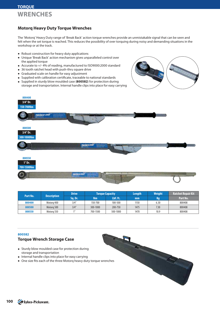### **Motorq Heavy Duty Torque Wrenches**

The 'Motorq' Heavy Duty range of 'Break Back' action torque wrenches provide an unmistakable signal that can be seen and felt when the set torque is reached. This reduces the possibility of over torquing during noisy and demanding situations in the workshop or at the track.

- Robust construction for heavy duty applications
- Unique 'Break Back' action mechanism gives unparalleled control over the applied torque
- Accurate to +/- 4% of reading, manufactured to ISO9000:2000 standard
- 36 tooth ratchet head with push-thru square drive
- Graduated scale on handle for easy adjustment
- Supplied with calibration certificate, traceable to national standards
- Supplied in sturdy blow moulded case (**800582**) for protection during storage and transportation. Internal handle clips into place for easy carrying





| <b>Description</b><br>Part No. |            | <b>Drive</b> | <b>Torque Capacity</b> |          | Length | <b>Weight</b> | <b>Ratchet Repair Kit</b> |
|--------------------------------|------------|--------------|------------------------|----------|--------|---------------|---------------------------|
|                                |            | Sa. Dr.      | Nm                     | Lbf.ft.  | mm     | Kg            | Part No.                  |
| 800400                         | Motora 400 | 3/4''        | 150-700                | 100-500  | 1150   | 6.30          | 800408                    |
| 800500                         | Motora 500 | 3/4''        | 300-1000               | 200-750  | 1475   | 7.30          | 800408                    |
| 800550                         | Motora 550 |              | 700-1500               | 500-1000 | 1470   | 10.9          | 800408                    |

### **800582**

### **Torque Wrench Storage Case**

- Sturdy blow moulded case for protection during storage and transportation
- Internal handle clips into place for easy carrying
- One size fits each of the three Motorq heavy duty torque wrenches

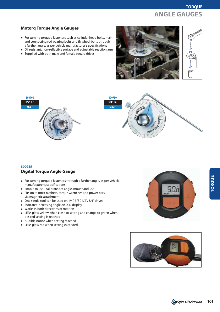

### **Motorq Torque Angle Gauges**

- For turning torqued fasteners such as cylinder head bolts, main and connecting rod bearing bolts and flywheel bolts through a further angle, as per vehicle manufacturer's specifications
- Oil resistant, non-reflective surface and adjustable reaction arm
- Supplied with both male and female square drives







### **800935 Digital Torque Angle Gauge**

- For turning torqued fasteners through a further angle, as per vehicle manufacturer's specifications
- Simple to use calibrate, set angle, mount and use
- Fits on to most ratchets, torque wrenches and power bars via magnetic attachment
- One single tool can be used on 1/4", 3/8", 1/2", 3/4" drives
- Indicates increasing angle on LCD display
- Works in both directions of rotation
- LEDs glow yellow when close to setting and change to green when desired setting is reached
- Audible notice when setting reached
- LEDs glow red when setting exceeded



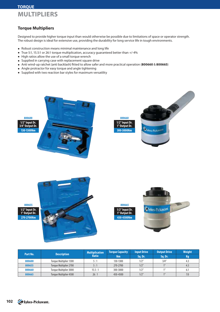# **TORQUE MULTIPLIERS**

## **Torque Multipliers**

Designed to provide higher torque input than would otherwise be possible due to limitations of space or operator strength. The robust design is ideal for extensive use, providing the durability for long service life in tough environments.

- Robust construction means minimal maintenance and long life
- True 5:1, 15.5:1 or 26:1 torque multiplication, accuracy guaranteed better than +/-4%
- High ratios allow the use of a small torque wrench
- Supplied in carrying case with replacement square drive
- Anti wind-up ratchet (anti backlash) !tted to allow safer and more practical operation (**800660** & **800665**)
- Angle protractor for easy torque and angle tightening
- Supplied with two reaction bar styles for maximum versatility



|          |                               | <b>Multiplication</b> | <b>Torque Capacity</b> | <b>Input Drive</b> | <b>Output Drive</b> | <b>Weight</b> |
|----------|-------------------------------|-----------------------|------------------------|--------------------|---------------------|---------------|
| Part No. | <b>Description</b>            | <b>Ratio</b>          | Nm                     | Sa. Dr.            | Sa. Dr.             | Kg            |
| 800600   | <b>Torque Multiplier 1300</b> | 5 : 1                 | 130-1300               | 1/2"               | 3/4''               | 4.3           |
| 800655   | <b>Torque Multiplier 2700</b> | 5:1                   | 270-2700               | 1/2''              |                     | 4.5           |
| 800660   | <b>Torque Multiplier 3000</b> | 15.5:1                | 300-3000               | 1/2"               |                     | 6.1           |
| 800665   | <b>Torque Multiplier 4500</b> | 26:1                  | 450-4500               | 1/2''              |                     | 7.0           |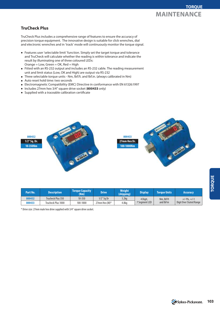# **TruCheck Plus**

TruCheck Plus includes a comprehensive range of features to ensure the accuracy of precision torque equipment. The innovative design is suitable for click wrenches, dial and electronic wrenches and in 'track' mode will continuously monitor the torque signal.

- Features user 'selectable limit' function. Simply set the target torque and tolerance and TruCheck will calculate whether the reading is within tolerance and indicate the result by illuminating one of three coloured LEDs:  $Orange = Low, Green = OK, Red = High$
- Fitted with an RS-232 output and includes an RS-232 cable. The reading measurement unit and limit status (Low, OK and High) are output via RS-232
- Three selectable torque units Nm, lbf.ft. and lbf.in. (always calibrated in Nm)
- Auto reset hold time: two seconds
- Electromagnetic Compatibility (EMC) Directive in conformance with EN 61326:1997
- Includes 27mm hex 3/4" square drive socket (**800433** only)
- Supplied with a traceable calibration certificate



| Part No. | <b>Description</b> | <b>Torque Capacity</b><br>(Nm) | <b>Drive</b>     | <b>Weight</b><br>(shipping) | <b>Display</b> | <b>Toraue Units</b> | <b>Accuracy</b>         |
|----------|--------------------|--------------------------------|------------------|-----------------------------|----------------|---------------------|-------------------------|
| 800432   | Trucheck Plus 350  | $10 - 350$                     | 1/2" Sa Dr       | 3.2kg                       | 4 Digit,       | Nm, lbf-ft          | $+/-1\%$ , $+/-1$       |
| 800433   | Trucheck Plus 1000 | 100-1000                       | 27mm Hex $(M)^*$ | 4.8kg                       | 7 Seament LED  | and lbf-in          | Digit Over Stated Range |

\* Drive size: 27mm male hex drive supplied with 3/4" square drive socket.